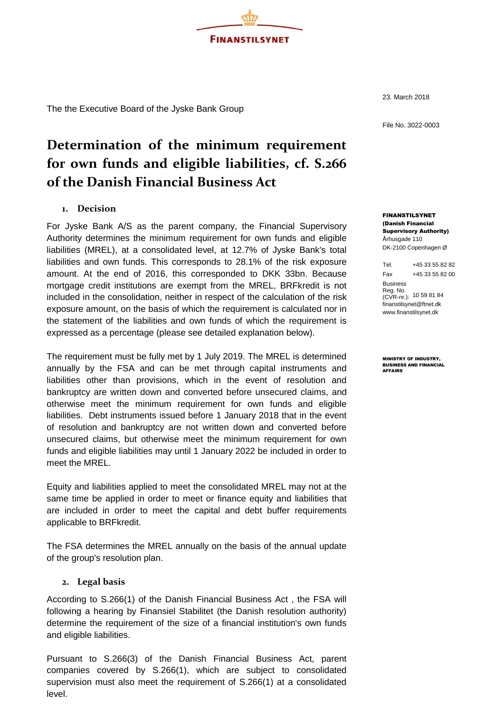

The the Executive Board of the Jyske Bank Group

23. March 2018

File No. 3022-0003

# **Determination of the minimum requirement for own funds and eligible liabilities, cf. S.266 of the Danish Financial Business Act**

### **1. Decision**

For Jyske Bank A/S as the parent company, the Financial Supervisory Authority determines the minimum requirement for own funds and eligible liabilities (MREL), at a consolidated level, at 12.7% of Jyske Bank's total liabilities and own funds. This corresponds to 28.1% of the risk exposure amount. At the end of 2016, this corresponded to DKK 33bn. Because mortgage credit institutions are exempt from the MREL, BRFkredit is not included in the consolidation, neither in respect of the calculation of the risk exposure amount, on the basis of which the requirement is calculated nor in the statement of the liabilities and own funds of which the requirement is expressed as a percentage (please see detailed explanation below).

The requirement must be fully met by 1 July 2019. The MREL is determined annually by the FSA and can be met through capital instruments and liabilities other than provisions, which in the event of resolution and bankruptcy are written down and converted before unsecured claims, and otherwise meet the minimum requirement for own funds and eligible liabilities. Debt instruments issued before 1 January 2018 that in the event of resolution and bankruptcy are not written down and converted before unsecured claims, but otherwise meet the minimum requirement for own funds and eligible liabilities may until 1 January 2022 be included in order to meet the MREL.

Equity and liabilities applied to meet the consolidated MREL may not at the same time be applied in order to meet or finance equity and liabilities that are included in order to meet the capital and debt buffer requirements applicable to BRFkredit.

The FSA determines the MREL annually on the basis of the annual update of the group's resolution plan.

#### **2. Legal basis**

According to S.266(1) of the Danish Financial Business Act , the FSA will following a hearing by Finansiel Stabilitet (the Danish resolution authority) determine the requirement of the size of a financial institution's own funds and eligible liabilities.

Pursuant to S.266(3) of the Danish Financial Business Act, parent companies covered by S.266(1), which are subject to consolidated supervision must also meet the requirement of S.266(1) at a consolidated level.

FINANSTILSYNET (Danish Financial Supervisory Authority) Århusgade 110 DK-2100 Copenhagen Ø

Tel. +45 33 55 82 82 Fax +45 33 55 82 00 Business Reg. No. (CVR-nr.): 10 59 81 84 [finanstilsynet@ftnet.dk](mailto:finanstilsynet@ftnet.dk) [www.finanstilsynet.dk](http://www.finanstilsynet.dk/)

MINISTRY OF INDUSTRY, BUSINESS AND FINANCIAL AFFAIRS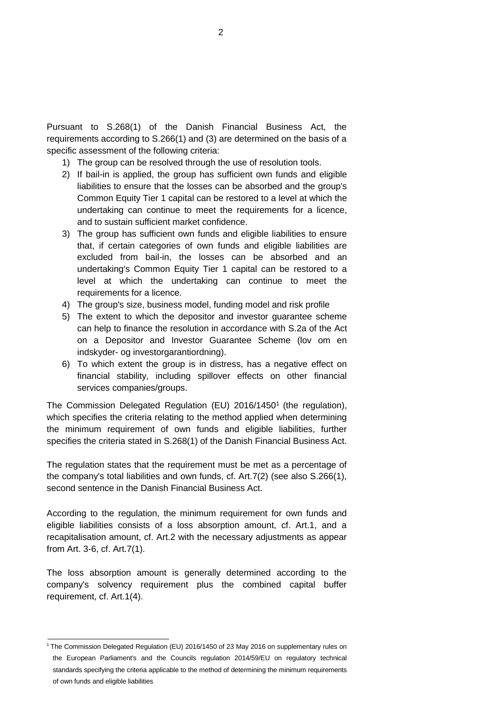Pursuant to S.268(1) of the Danish Financial Business Act, the requirements according to S.266(1) and (3) are determined on the basis of a specific assessment of the following criteria:

- 1) The group can be resolved through the use of resolution tools.
- 2) If bail-in is applied, the group has sufficient own funds and eligible liabilities to ensure that the losses can be absorbed and the group's Common Equity Tier 1 capital can be restored to a level at which the undertaking can continue to meet the requirements for a licence, and to sustain sufficient market confidence.
- 3) The group has sufficient own funds and eligible liabilities to ensure that, if certain categories of own funds and eligible liabilities are excluded from bail-in, the losses can be absorbed and an undertaking's Common Equity Tier 1 capital can be restored to a level at which the undertaking can continue to meet the requirements for a licence.
- 4) The group's size, business model, funding model and risk profile
- 5) The extent to which the depositor and investor guarantee scheme can help to finance the resolution in accordance with S.2a of the Act on a Depositor and Investor Guarantee Scheme (lov om en indskyder- og investorgarantiordning).
- 6) To which extent the group is in distress, has a negative effect on financial stability, including spillover effects on other financial services companies/groups.

The Commission Delegated Regulation (EU)  $2016/1450<sup>1</sup>$  (the regulation), which specifies the criteria relating to the method applied when determining the minimum requirement of own funds and eligible liabilities, further specifies the criteria stated in S.268(1) of the Danish Financial Business Act.

The regulation states that the requirement must be met as a percentage of the company's total liabilities and own funds, cf. Art.7(2) (see also S.266(1), second sentence in the Danish Financial Business Act.

According to the regulation, the minimum requirement for own funds and eligible liabilities consists of a loss absorption amount, cf. Art.1, and a recapitalisation amount, cf. Art.2 with the necessary adjustments as appear from Art. 3-6, cf. Art.7(1).

The loss absorption amount is generally determined according to the company's solvency requirement plus the combined capital buffer requirement, cf. Art.1(4).

<sup>1</sup>The Commission Delegated Regulation (EU) 2016/1450 of 23 May 2016 on supplementary rules on the European Parliament's and the Councils regulation 2014/59/EU on regulatory technical standards specifying the criteria applicable to the method of determining the minimum requirements of own funds and eligible liabilities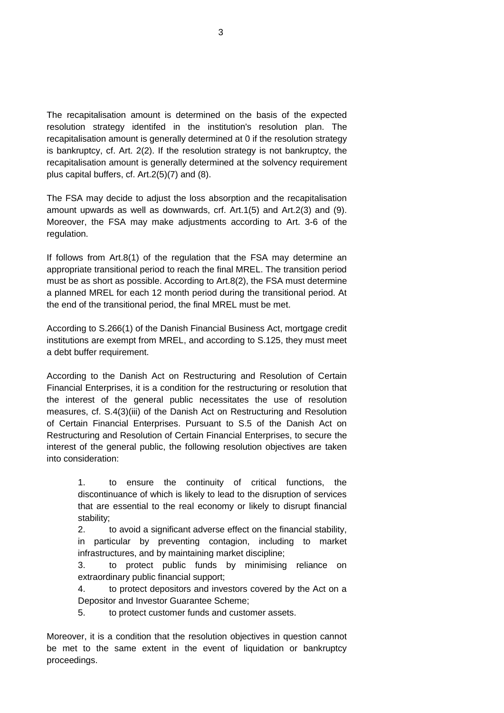The recapitalisation amount is determined on the basis of the expected resolution strategy identifed in the institution's resolution plan. The recapitalisation amount is generally determined at 0 if the resolution strategy is bankruptcy, cf. Art. 2(2). If the resolution strategy is not bankruptcy, the recapitalisation amount is generally determined at the solvency requirement plus capital buffers, cf. Art.2(5)(7) and (8).

The FSA may decide to adjust the loss absorption and the recapitalisation amount upwards as well as downwards, crf. Art.1(5) and Art.2(3) and (9). Moreover, the FSA may make adjustments according to Art. 3-6 of the regulation.

If follows from Art.8(1) of the regulation that the FSA may determine an appropriate transitional period to reach the final MREL. The transition period must be as short as possible. According to Art.8(2), the FSA must determine a planned MREL for each 12 month period during the transitional period. At the end of the transitional period, the final MREL must be met.

According to S.266(1) of the Danish Financial Business Act, mortgage credit institutions are exempt from MREL, and according to S.125, they must meet a debt buffer requirement.

According to the Danish Act on Restructuring and Resolution of Certain Financial Enterprises, it is a condition for the restructuring or resolution that the interest of the general public necessitates the use of resolution measures, cf. S.4(3)(iii) of the Danish Act on Restructuring and Resolution of Certain Financial Enterprises. Pursuant to S.5 of the Danish Act on Restructuring and Resolution of Certain Financial Enterprises, to secure the interest of the general public, the following resolution objectives are taken into consideration:

> 1. to ensure the continuity of critical functions, the discontinuance of which is likely to lead to the disruption of services that are essential to the real economy or likely to disrupt financial stability;

> 2. to avoid a significant adverse effect on the financial stability, in particular by preventing contagion, including to market infrastructures, and by maintaining market discipline;

> 3. to protect public funds by minimising reliance on extraordinary public financial support;

> 4. to protect depositors and investors covered by the Act on a Depositor and Investor Guarantee Scheme;

5. to protect customer funds and customer assets.

Moreover, it is a condition that the resolution objectives in question cannot be met to the same extent in the event of liquidation or bankruptcy proceedings.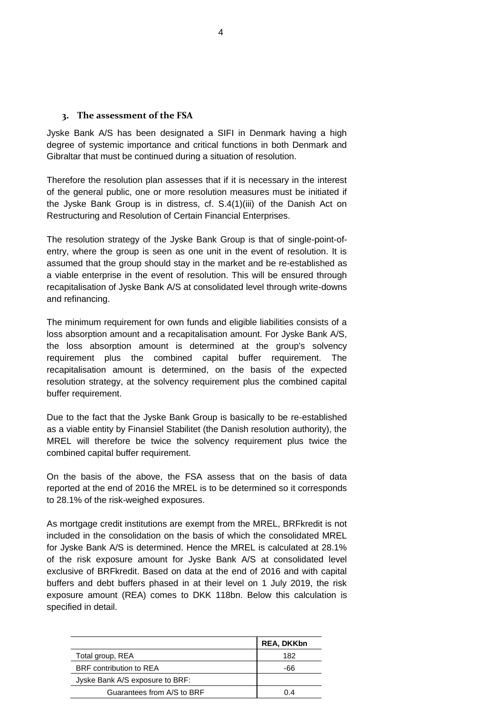#### **3. The assessment of the FSA**

Jyske Bank A/S has been designated a SIFI in Denmark having a high degree of systemic importance and critical functions in both Denmark and Gibraltar that must be continued during a situation of resolution.

Therefore the resolution plan assesses that if it is necessary in the interest of the general public, one or more resolution measures must be initiated if the Jyske Bank Group is in distress, cf. S.4(1)(iii) of the Danish Act on Restructuring and Resolution of Certain Financial Enterprises.

The resolution strategy of the Jyske Bank Group is that of single-point-ofentry, where the group is seen as one unit in the event of resolution. It is assumed that the group should stay in the market and be re-established as a viable enterprise in the event of resolution. This will be ensured through recapitalisation of Jyske Bank A/S at consolidated level through write-downs and refinancing.

The minimum requirement for own funds and eligible liabilities consists of a loss absorption amount and a recapitalisation amount. For Jyske Bank A/S, the loss absorption amount is determined at the group's solvency requirement plus the combined capital buffer requirement. The recapitalisation amount is determined, on the basis of the expected resolution strategy, at the solvency requirement plus the combined capital buffer requirement.

Due to the fact that the Jyske Bank Group is basically to be re-established as a viable entity by Finansiel Stabilitet (the Danish resolution authority), the MREL will therefore be twice the solvency requirement plus twice the combined capital buffer requirement.

On the basis of the above, the FSA assess that on the basis of data reported at the end of 2016 the MREL is to be determined so it corresponds to 28.1% of the risk-weighed exposures.

As mortgage credit institutions are exempt from the MREL, BRFkredit is not included in the consolidation on the basis of which the consolidated MREL for Jyske Bank A/S is determined. Hence the MREL is calculated at 28.1% of the risk exposure amount for Jyske Bank A/S at consolidated level exclusive of BRFkredit. Based on data at the end of 2016 and with capital buffers and debt buffers phased in at their level on 1 July 2019, the risk exposure amount (REA) comes to DKK 118bn. Below this calculation is specified in detail.

|                                 | <b>REA, DKKbn</b> |
|---------------------------------|-------------------|
| Total group, REA                | 182               |
| BRF contribution to REA         | -66               |
| Jyske Bank A/S exposure to BRF: |                   |
| Guarantees from A/S to BRF      | 4 (               |